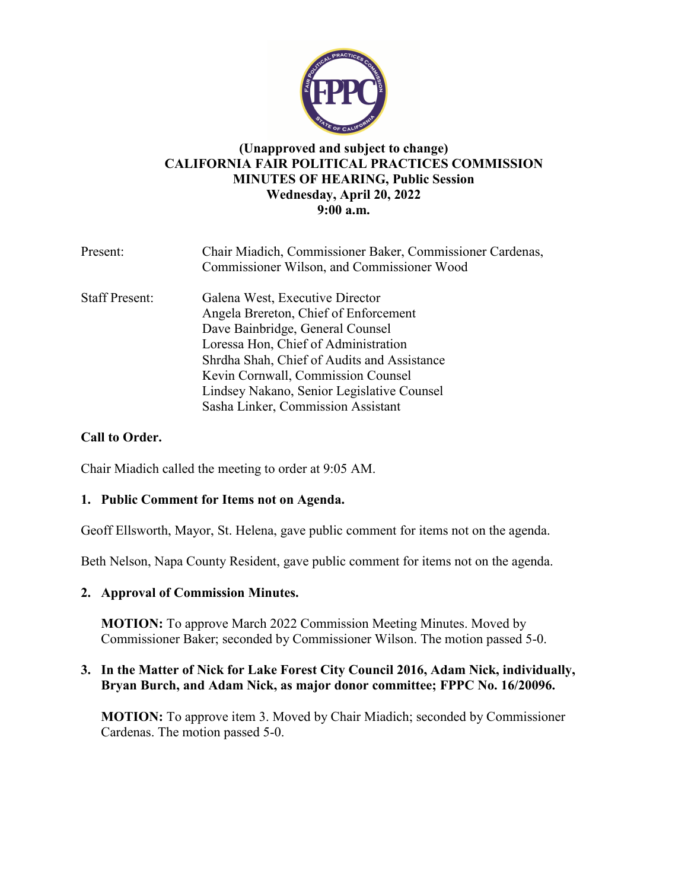

# **(Unapproved and subject to change) CALIFORNIA FAIR POLITICAL PRACTICES COMMISSION MINUTES OF HEARING, Public Session Wednesday, April 20, 2022 9:00 a.m.**

| Present:              | Chair Miadich, Commissioner Baker, Commissioner Cardenas,<br>Commissioner Wilson, and Commissioner Wood                                                                                                                                                                                                                       |
|-----------------------|-------------------------------------------------------------------------------------------------------------------------------------------------------------------------------------------------------------------------------------------------------------------------------------------------------------------------------|
| <b>Staff Present:</b> | Galena West, Executive Director<br>Angela Brereton, Chief of Enforcement<br>Dave Bainbridge, General Counsel<br>Loressa Hon, Chief of Administration<br>Shrdha Shah, Chief of Audits and Assistance<br>Kevin Cornwall, Commission Counsel<br>Lindsey Nakano, Senior Legislative Counsel<br>Sasha Linker, Commission Assistant |

# **Call to Order.**

Chair Miadich called the meeting to order at 9:05 AM.

## **1. Public Comment for Items not on Agenda.**

Geoff Ellsworth, Mayor, St. Helena, gave public comment for items not on the agenda.

Beth Nelson, Napa County Resident, gave public comment for items not on the agenda.

## **2. Approval of Commission Minutes.**

**MOTION:** To approve March 2022 Commission Meeting Minutes. Moved by Commissioner Baker; seconded by Commissioner Wilson. The motion passed 5-0.

# **3. In the Matter of Nick for Lake Forest City Council 2016, Adam Nick, individually, Bryan Burch, and Adam Nick, as major donor committee; FPPC No. 16/20096.**

**MOTION:** To approve item 3. Moved by Chair Miadich; seconded by Commissioner Cardenas. The motion passed 5-0.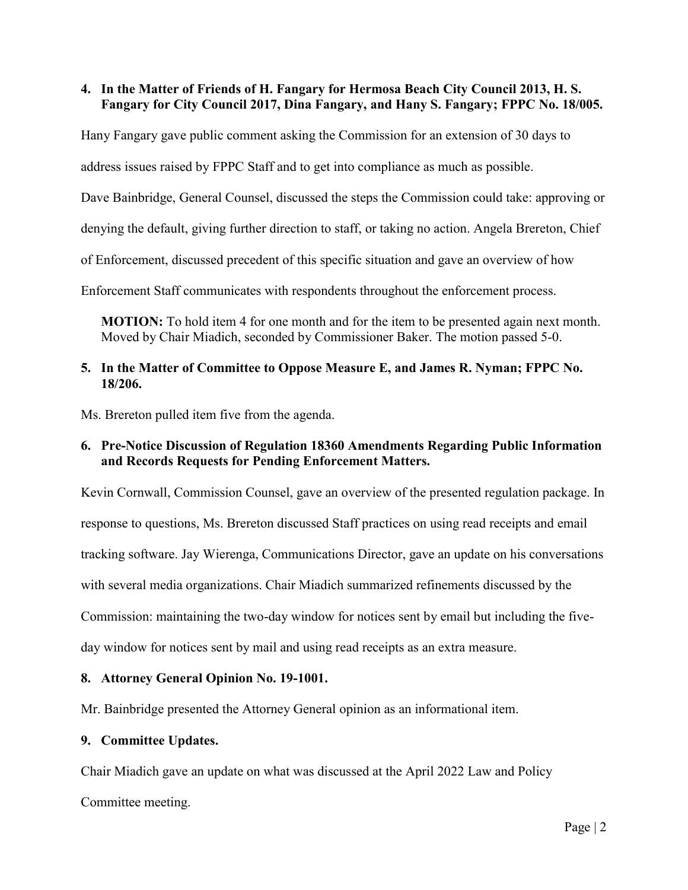# **4. In the Matter of Friends of H. Fangary for Hermosa Beach City Council 2013, H. S. Fangary for City Council 2017, Dina Fangary, and Hany S. Fangary; FPPC No. 18/005.**

Hany Fangary gave public comment asking the Commission for an extension of 30 days to

address issues raised by FPPC Staff and to get into compliance as much as possible.

Dave Bainbridge, General Counsel, discussed the steps the Commission could take: approving or

denying the default, giving further direction to staff, or taking no action. Angela Brereton, Chief

of Enforcement, discussed precedent of this specific situation and gave an overview of how

Enforcement Staff communicates with respondents throughout the enforcement process.

**MOTION:** To hold item 4 for one month and for the item to be presented again next month. Moved by Chair Miadich, seconded by Commissioner Baker. The motion passed 5-0.

## **5. In the Matter of Committee to Oppose Measure E, and James R. Nyman; FPPC No. 18/206.**

Ms. Brereton pulled item five from the agenda.

# **6. Pre-Notice Discussion of Regulation 18360 Amendments Regarding Public Information and Records Requests for Pending Enforcement Matters.**

Kevin Cornwall, Commission Counsel, gave an overview of the presented regulation package. In response to questions, Ms. Brereton discussed Staff practices on using read receipts and email tracking software. Jay Wierenga, Communications Director, gave an update on his conversations with several media organizations. Chair Miadich summarized refinements discussed by the Commission: maintaining the two-day window for notices sent by email but including the fiveday window for notices sent by mail and using read receipts as an extra measure.

## **8. Attorney General Opinion No. 19-1001.**

Mr. Bainbridge presented the Attorney General opinion as an informational item.

#### **9. Committee Updates.**

Chair Miadich gave an update on what was discussed at the April 2022 Law and Policy

Committee meeting.